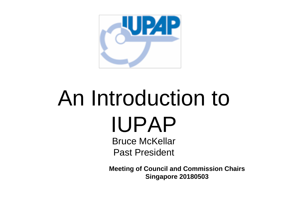

# An Introduction to IUPAP

Bruce McKellar Past President

**Meeting of Council and Commission Chairs Singapore 20180503**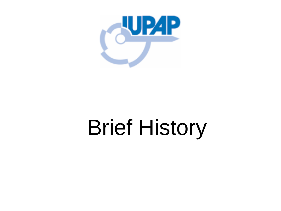

# Brief History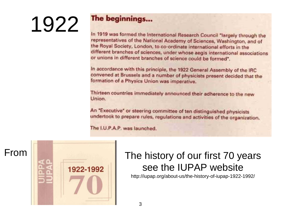# 1922

#### The beginnings...

In 1919 was formed the International Research Council "largely through the representatives of the National Academy of Sciences, Washington, and of the Royal Society, London, to co-ordinate international efforts in the different branches of sciences, under whose aegis international associations or unions in different branches of science could be formed".

In accordance with this principle, the 1922 General Assembly of the IRC convened at Brussels and a number of physicists present decided that the formation of a Physics Union was imperative.

Thirteen countries immediately announced their adherence to the new Union.

An "Executive" or steering committee of ten distinguished physicists undertook to prepare rules, regulations and activities of the organization.

The I.U.P.A.P. was launched.



#### From **The history of our first 70 years** see the IUPAP website

http://iupap.org/about-us/the-history-of-iupap-1922-1992/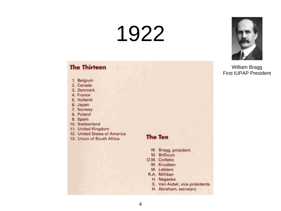### 1922

#### **The Thirteen**

- 1. Belgium
- 2. Canada
- 3. Denmark
- 4. France
- 5. Holland
- 6. Japan
- 7. Norway
- 8. Poland
- 9. Spain
- 10. Switzerland
- 11. United Kingdom
- 12. United States of America
- 13. Union of South Africa

#### **The Ten**

- W. Bragg, president
- M. Brillouin
- O.M. Corbino
	- M. Knudsen
	- M. Leblanc
- R.A. Millikan
	- H. Nagaoka
	- E. Van Aubel, vice-présidents
	- H. Abraham, secretary



William Bragg First IUPAP President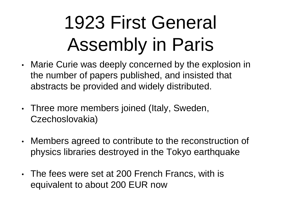#### 1923 First General Assembly in Paris

- Marie Curie was deeply concerned by the explosion in the number of papers published, and insisted that abstracts be provided and widely distributed.
- Three more members joined (Italy, Sweden, Czechoslovakia)
- Members agreed to contribute to the reconstruction of physics libraries destroyed in the Tokyo earthquake
- The fees were set at 200 French Francs, with is equivalent to about 200 EUR now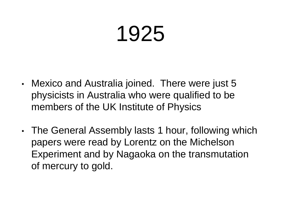### 1925

- Mexico and Australia joined. There were just 5 physicists in Australia who were qualified to be members of the UK Institute of Physics
- The General Assembly lasts 1 hour, following which papers were read by Lorentz on the Michelson Experiment and by Nagaoka on the transmutation of mercury to gold.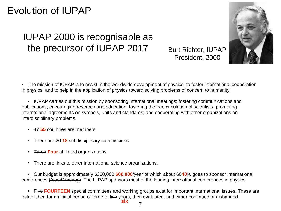#### Evolution of IUPAP

#### IUPAP 2000 is recognisable as the precursor of IUPAP 2017

Burt Richter, IUPAP President, 2000



• The mission of IUPAP is to assist in the worldwide development of physics, to foster international cooperation in physics, and to help in the application of physics toward solving problems of concern to humanity.

• IUPAP carries out this mission by sponsoring international meetings; fostering communications and publications; encouraging research and education; fostering the free circulation of scientists; promoting international agreements on symbols, units and standards; and cooperating with other organizations on interdisciplinary problems.

- 47 **55** countries are members.
- There are 20 **18** subdisciplinary commissions.
- Three **Four** affiliated organizations.
- There are links to other international science organizations.

• Our budget is approximately \$300,000 **600,000**/year of which about 60**40**% goes to sponsor international conferences ("seed" money). The IUPAP sponsors most of the leading international conferences in physics.

• Five **FOURTEEN** special committees and working groups exist for important international issues. These are established for an initial period of three to five years, then evaluated, and either continued or disbanded. **six**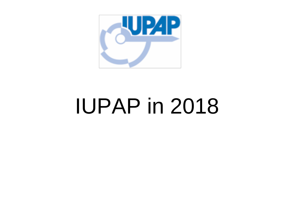

### IUPAP in 2018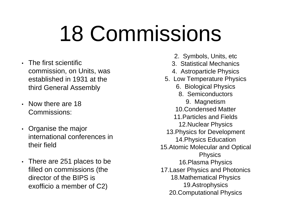# 18 Commissions

- The first scientific commission, on Units, was established in 1931 at the third General Assembly
- Now there are 18 Commissions:
- Organise the major international conferences in their field
- There are 251 places to be filled on commissions (the director of the BIPS is exofficio a member of C2)
- 2. Symbols, Units, etc
- 3. Statistical Mechanics
- 4. Astroparticle Physics
- 5. Low Temperature Physics
	- 6. Biological Physics
		- 8. Semiconductors
			- 9. Magnetism
	- 10.Condensed Matter
	- 11.Particles and Fields
	- 12.Nuclear Physics
- 13.Physics for Development
- 14.Physics Education
- 15.Atomic Molecular and Optical **Physics** 
	- 16.Plasma Physics
	-
- 17.Laser Physics and Photonics 18.Mathematical Physics

19.Astrophysics 20.Computational Physics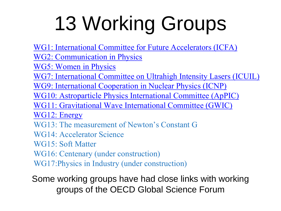# 13 Working Groups

[WG1: International Committee for Future Accelerators \(ICFA\)](http://iupap.org/working-groups/wg1-international-committee-for-future-accelerators-icfa/)

[WG2: Communication in Physics](http://iupap.org/working-groups/wg-2-communication-in-physics/)

[WG5: Women in Physics](http://iupap.org/working-groups/wg5-women-in-physics/)

[WG7: International Committee on Ultrahigh Intensity Lasers \(ICUIL\)](http://iupap.org/working-groups/wg7-international-committee-on-ultrahigh-intensity-lasers-icuil/)

[WG9: International Cooperation in Nuclear Physics \(ICNP\)](http://iupap.org/working-groups/wg9-international-cooperation-in-nuclear-physics-icnp/)

[WG10: Astroparticle Physics International Committee \(ApPIC\)](http://iupap.org/working-groups/wg10-astroparticle-physics-international-committee-appic/)

[WG11: Gravitational Wave International Committee \(GWIC\)](http://iupap.org/working-groups/wg11-gravitational-wave-international-committee-gwic/)

[WG12: Energy](http://iupap.org/working-groups/wg12-energy/)

WG13: The measurement of Newton's Constant G

WG14: Accelerator Science

WG15: Soft Matter

WG16: Centenary (under construction)

WG17:Physics in Industry (under construction)

Some working groups have had close links with working groups of the OECD Global Science Forum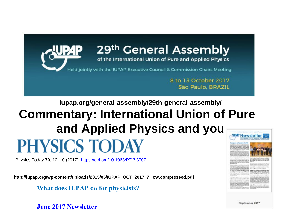

#### **iupap.org/general-assembly/29th-general-assembly/ Commentary: International Union of Pure and Applied Physics and you PHYSICS TODAY**

Physics Today **70**, 10, 10 (2017);<https://doi.org/10.1063/PT.3.3707>

**http://iupap.org/wp-content/uploads/2015/05/IUPAP\_OCT\_2017\_7\_low.compressed.pdf**

**What does IUPAP do for physicists?** 

**[June 2017 Newsletter](http://iupap.org/wp-content/uploads/2017/06/IUPAP_June_2017_e-version.pdf)**



September 2017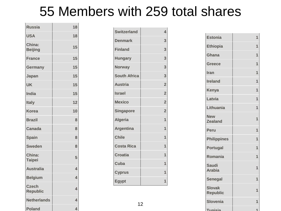#### 55 Members with 259 total shares

| <b>Russia</b>                   | 18                      |
|---------------------------------|-------------------------|
| <b>USA</b>                      | 18                      |
| China:<br><b>Beijing</b>        | 15                      |
| <b>France</b>                   | 15                      |
| <b>Germany</b>                  | 15                      |
| Japan                           | 15                      |
| <b>UK</b>                       | 15                      |
| <b>India</b>                    | 15                      |
| <b>Italy</b>                    | 12                      |
| <b>Korea</b>                    | 10                      |
| <b>Brazil</b>                   | 8                       |
| <b>Canada</b>                   | 8                       |
| <b>Spain</b>                    | 8                       |
| <b>Sweden</b>                   | 8                       |
| China:<br><b>Taipei</b>         | 5                       |
| <b>Australia</b>                | 4                       |
| <b>Belgium</b>                  | 4                       |
| <b>Czech</b><br><b>Republic</b> | $\overline{\mathbf{A}}$ |
| <b>Netherlands</b>              | 4                       |
| <b>Poland</b>                   | Δ.                      |

the control of the control of the control of

| <b>Switzerland</b>  | 4              |
|---------------------|----------------|
| <b>Denmark</b>      | 3              |
| <b>Finland</b>      | 3              |
| <b>Hungary</b>      | 3              |
| <b>Norway</b>       | 3              |
| <b>South Africa</b> | 3              |
| <b>Austria</b>      | $\overline{2}$ |
| <b>Israel</b>       | $\overline{2}$ |
| <b>Mexico</b>       | $\overline{2}$ |
| <b>Singapore</b>    | $\overline{2}$ |
| <b>Algeria</b>      | 1              |
| <b>Argentina</b>    | 1              |
| <b>Chile</b>        | 1              |
| <b>Costa Rica</b>   | 1              |
| <b>Croatia</b>      | 1              |
| Cuba                | 1              |
| <b>Cyprus</b>       | 1              |
| <b>Egypt</b>        | 1              |

| <b>Estonia</b>                   | 1 |
|----------------------------------|---|
| <b>Ethiopia</b>                  | 1 |
| <b>Ghana</b>                     | 1 |
| <b>Greece</b>                    | 1 |
| Iran                             | 1 |
| <b>Ireland</b>                   | 1 |
| <b>Kenya</b>                     | 1 |
| Latvia                           | 1 |
| Lithuania                        | 1 |
| <b>New</b><br><b>Zealand</b>     | 1 |
| <b>Peru</b>                      | 1 |
| <b>Philippines</b>               | 1 |
| <b>Portugal</b>                  | 1 |
| Romania                          | 1 |
| <b>Saudi</b><br><b>Arabia</b>    | 1 |
| <b>Senegal</b>                   | 1 |
| <b>Slovak</b><br><b>Republic</b> | 1 |
| <b>Slovenia</b>                  | 1 |
| Tunicia                          |   |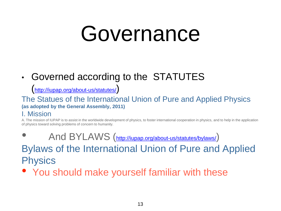### Governance

#### • Governed according to the STATUTES

(<http://iupap.org/about-us/statutes/>)

#### The Statues of the International Union of Pure and Applied Physics **(as adopted by the General Assembly, 2011)**

#### I. Mission

A. The mission of IUPAP is to assist in the worldwide development of physics, to foster international cooperation in physics, and to help in the application of physics toward solving problems of concern to humanity.

- And BYLAWS (<http://iupap.org/about-us/statutes/bylaws/>) Bylaws of the International Union of Pure and Applied **Physics**
- You should make yourself familiar with these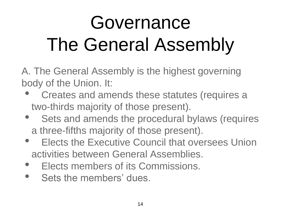#### Governance The General Assembly

A. The General Assembly is the highest governing body of the Union. It:

- Creates and amends these statutes (requires a two-thirds majority of those present).
- Sets and amends the procedural bylaws (requires a three-fifths majority of those present).
- **Elects the Executive Council that oversees Union** activities between General Assemblies.
- Elects members of its Commissions.
- Sets the members' dues.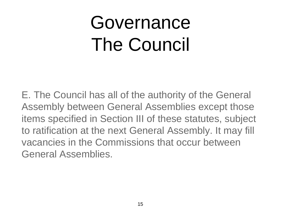#### Governance The Council

E. The Council has all of the authority of the General Assembly between General Assemblies except those items specified in Section III of these statutes, subject to ratification at the next General Assembly. It may fill vacancies in the Commissions that occur between General Assemblies.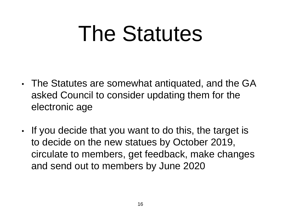# The Statutes

- The Statutes are somewhat antiquated, and the GA asked Council to consider updating them for the electronic age
- If you decide that you want to do this, the target is to decide on the new statues by October 2019, circulate to members, get feedback, make changes and send out to members by June 2020